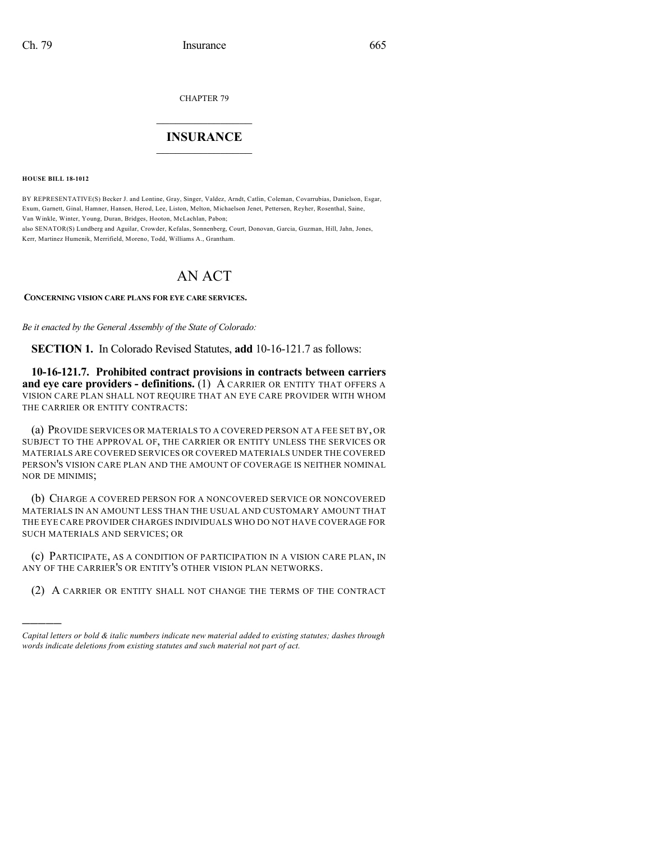CHAPTER 79

## $\mathcal{L}_\text{max}$  . The set of the set of the set of the set of the set of the set of the set of the set of the set of the set of the set of the set of the set of the set of the set of the set of the set of the set of the set **INSURANCE**  $\frac{1}{2}$  ,  $\frac{1}{2}$  ,  $\frac{1}{2}$  ,  $\frac{1}{2}$  ,  $\frac{1}{2}$  ,  $\frac{1}{2}$  ,  $\frac{1}{2}$

**HOUSE BILL 18-1012**

)))))

BY REPRESENTATIVE(S) Becker J. and Lontine, Gray, Singer, Valdez, Arndt, Catlin, Coleman, Covarrubias, Danielson, Esgar, Exum, Garnett, Ginal, Hamner, Hansen, Herod, Lee, Liston, Melton, Michaelson Jenet, Pettersen, Reyher, Rosenthal, Saine, Van Winkle, Winter, Young, Duran, Bridges, Hooton, McLachlan, Pabon; also SENATOR(S) Lundberg and Aguilar, Crowder, Kefalas, Sonnenberg, Court, Donovan, Garcia, Guzman, Hill, Jahn, Jones, Kerr, Martinez Humenik, Merrifield, Moreno, Todd, Williams A., Grantham.

## AN ACT

**CONCERNING VISION CARE PLANS FOR EYE CARE SERVICES.**

*Be it enacted by the General Assembly of the State of Colorado:*

**SECTION 1.** In Colorado Revised Statutes, **add** 10-16-121.7 as follows:

**10-16-121.7. Prohibited contract provisions in contracts between carriers and eye care providers - definitions.** (1) A CARRIER OR ENTITY THAT OFFERS A VISION CARE PLAN SHALL NOT REQUIRE THAT AN EYE CARE PROVIDER WITH WHOM THE CARRIER OR ENTITY CONTRACTS:

(a) PROVIDE SERVICES OR MATERIALS TO A COVERED PERSON AT A FEE SET BY, OR SUBJECT TO THE APPROVAL OF, THE CARRIER OR ENTITY UNLESS THE SERVICES OR MATERIALS ARE COVERED SERVICES OR COVERED MATERIALS UNDER THE COVERED PERSON'S VISION CARE PLAN AND THE AMOUNT OF COVERAGE IS NEITHER NOMINAL NOR DE MINIMIS;

(b) CHARGE A COVERED PERSON FOR A NONCOVERED SERVICE OR NONCOVERED MATERIALS IN AN AMOUNT LESS THAN THE USUAL AND CUSTOMARY AMOUNT THAT THE EYE CARE PROVIDER CHARGES INDIVIDUALS WHO DO NOT HAVE COVERAGE FOR SUCH MATERIALS AND SERVICES; OR

(c) PARTICIPATE, AS A CONDITION OF PARTICIPATION IN A VISION CARE PLAN, IN ANY OF THE CARRIER'S OR ENTITY'S OTHER VISION PLAN NETWORKS.

(2) A CARRIER OR ENTITY SHALL NOT CHANGE THE TERMS OF THE CONTRACT

*Capital letters or bold & italic numbers indicate new material added to existing statutes; dashes through words indicate deletions from existing statutes and such material not part of act.*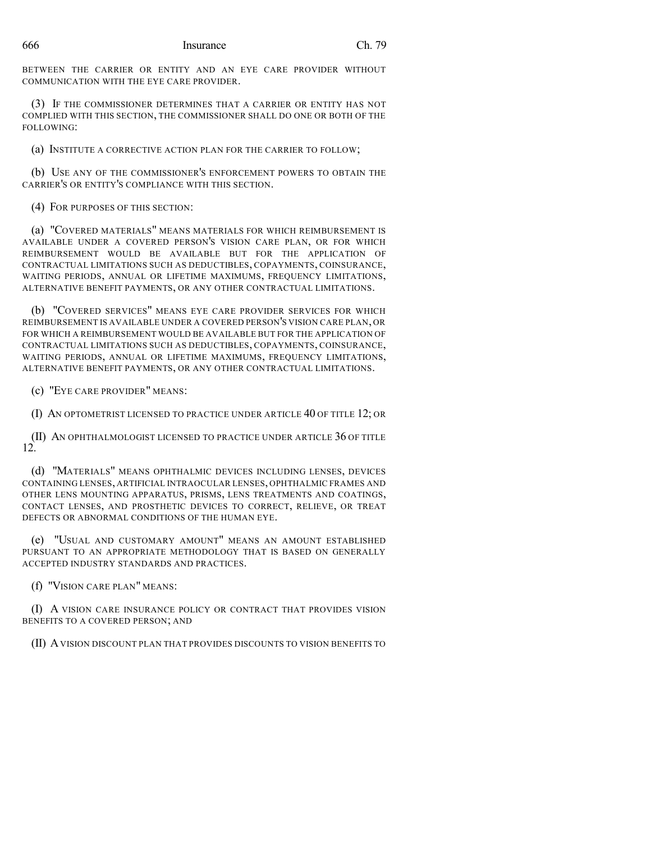BETWEEN THE CARRIER OR ENTITY AND AN EYE CARE PROVIDER WITHOUT COMMUNICATION WITH THE EYE CARE PROVIDER.

(3) IF THE COMMISSIONER DETERMINES THAT A CARRIER OR ENTITY HAS NOT COMPLIED WITH THIS SECTION, THE COMMISSIONER SHALL DO ONE OR BOTH OF THE FOLLOWING:

(a) INSTITUTE A CORRECTIVE ACTION PLAN FOR THE CARRIER TO FOLLOW;

(b) USE ANY OF THE COMMISSIONER'S ENFORCEMENT POWERS TO OBTAIN THE CARRIER'S OR ENTITY'S COMPLIANCE WITH THIS SECTION.

(4) FOR PURPOSES OF THIS SECTION:

(a) "COVERED MATERIALS" MEANS MATERIALS FOR WHICH REIMBURSEMENT IS AVAILABLE UNDER A COVERED PERSON'S VISION CARE PLAN, OR FOR WHICH REIMBURSEMENT WOULD BE AVAILABLE BUT FOR THE APPLICATION OF CONTRACTUAL LIMITATIONS SUCH AS DEDUCTIBLES, COPAYMENTS, COINSURANCE, WAITING PERIODS, ANNUAL OR LIFETIME MAXIMUMS, FREQUENCY LIMITATIONS, ALTERNATIVE BENEFIT PAYMENTS, OR ANY OTHER CONTRACTUAL LIMITATIONS.

(b) "COVERED SERVICES" MEANS EYE CARE PROVIDER SERVICES FOR WHICH REIMBURSEMENT IS AVAILABLE UNDER A COVERED PERSON'S VISION CARE PLAN, OR FOR WHICH A REIMBURSEMENT WOULD BE AVAILABLE BUT FOR THE APPLICATION OF CONTRACTUAL LIMITATIONS SUCH AS DEDUCTIBLES, COPAYMENTS, COINSURANCE, WAITING PERIODS, ANNUAL OR LIFETIME MAXIMUMS, FREQUENCY LIMITATIONS, ALTERNATIVE BENEFIT PAYMENTS, OR ANY OTHER CONTRACTUAL LIMITATIONS.

(c) "EYE CARE PROVIDER" MEANS:

(I) AN OPTOMETRIST LICENSED TO PRACTICE UNDER ARTICLE 40 OF TITLE 12; OR

(II) AN OPHTHALMOLOGIST LICENSED TO PRACTICE UNDER ARTICLE 36 OF TITLE 12.

(d) "MATERIALS" MEANS OPHTHALMIC DEVICES INCLUDING LENSES, DEVICES CONTAINING LENSES, ARTIFICIAL INTRAOCULAR LENSES, OPHTHALMIC FRAMES AND OTHER LENS MOUNTING APPARATUS, PRISMS, LENS TREATMENTS AND COATINGS, CONTACT LENSES, AND PROSTHETIC DEVICES TO CORRECT, RELIEVE, OR TREAT DEFECTS OR ABNORMAL CONDITIONS OF THE HUMAN EYE.

(e) "USUAL AND CUSTOMARY AMOUNT" MEANS AN AMOUNT ESTABLISHED PURSUANT TO AN APPROPRIATE METHODOLOGY THAT IS BASED ON GENERALLY ACCEPTED INDUSTRY STANDARDS AND PRACTICES.

(f) "VISION CARE PLAN" MEANS:

(I) A VISION CARE INSURANCE POLICY OR CONTRACT THAT PROVIDES VISION BENEFITS TO A COVERED PERSON; AND

(II) AVISION DISCOUNT PLAN THAT PROVIDES DISCOUNTS TO VISION BENEFITS TO